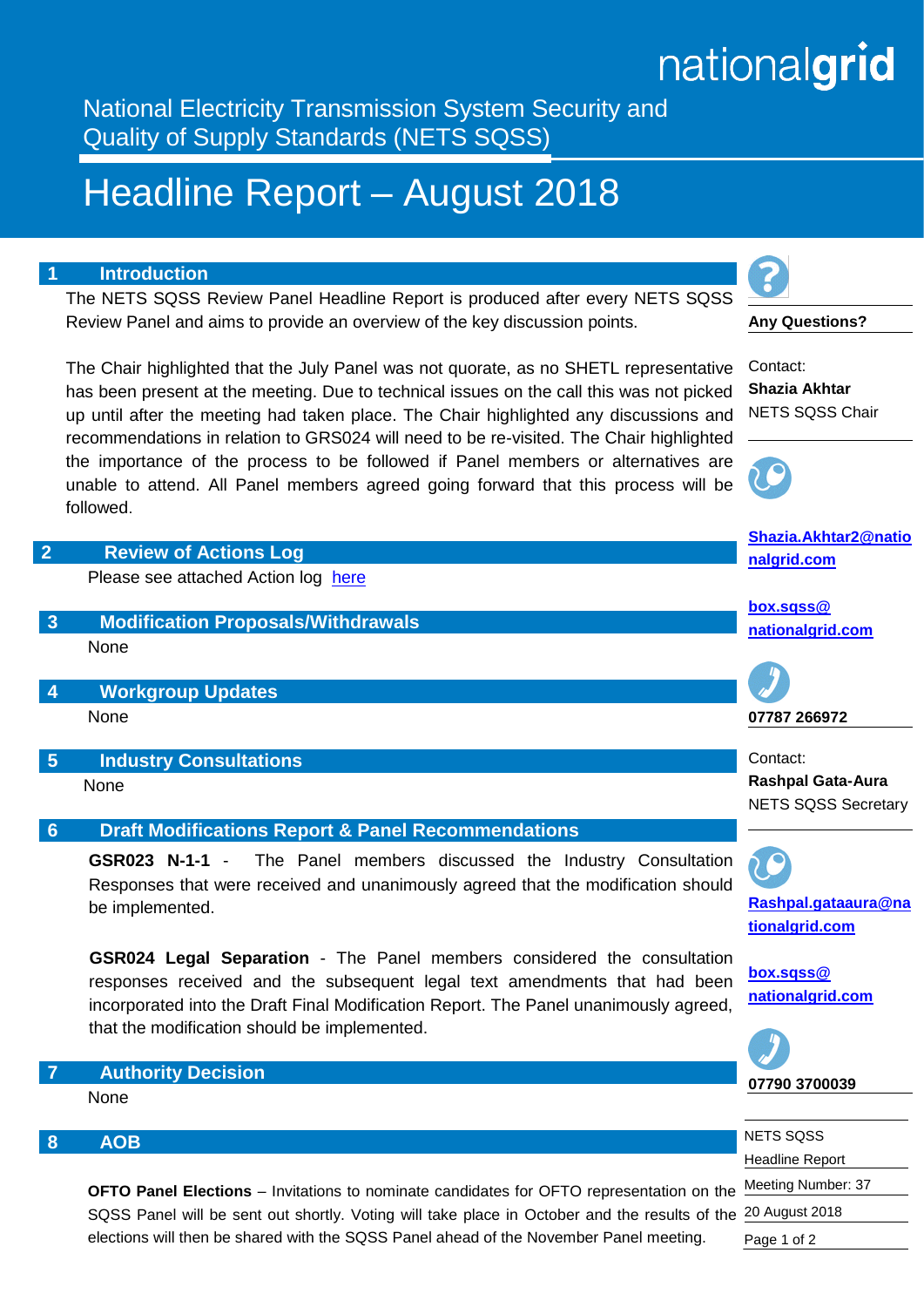## nationalgrid

National Electricity Transmission System Security and Quality of Supply Standards (NETS SQSS)

## Headline Report – August 2018

## **1 Introduction**

The NETS SQSS Review Panel Headline Report is produced after every NETS SQSS Review Panel and aims to provide an overview of the key discussion points.

The Chair highlighted that the July Panel was not quorate, as no SHETL representative has been present at the meeting. Due to technical issues on the call this was not picked up until after the meeting had taken place. The Chair highlighted any discussions and recommendations in relation to GRS024 will need to be re-visited. The Chair highlighted the importance of the process to be followed if Panel members or alternatives are unable to attend. All Panel members agreed going forward that this process will be followed.



| NETS SOSS                |
|--------------------------|
| <b>Headline Report</b>   |
| 1 the Meeting Number: 37 |
| f the 20 August 2018     |
| Page 1 of 2              |
|                          |

## **8 AOB**

**OFTO Panel Elections** – Invitations to nominate candidates for OFTO representation or SQSS Panel will be sent out shortly. Voting will take place in October and the results of elections will then be shared with the SQSS Panel ahead of the November Panel meeting.

**Any Questions?**

Contact: **Shazia Akhtar** NETS SQSS Chair



**[Shazia.Akhtar2@natio](mailto:%20Shazia.Akhtar2@nationalgrid.com)**